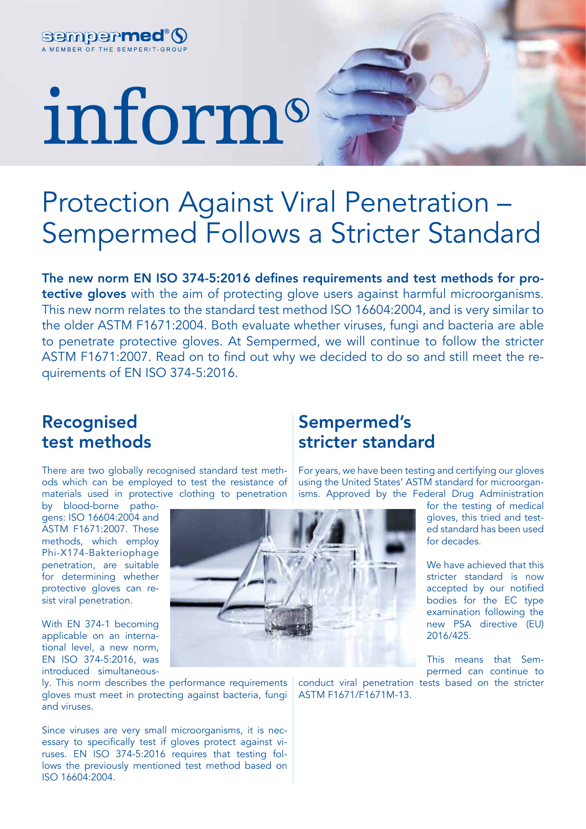

# inform

## Protection Against Viral Penetration – Sempermed Follows a Stricter Standard

The new norm EN ISO 374-5:2016 defines requirements and test methods for protective gloves with the aim of protecting glove users against harmful microorganisms. This new norm relates to the standard test method ISO 16604:2004, and is very similar to the older ASTM F1671:2004. Both evaluate whether viruses, fungi and bacteria are able to penetrate protective gloves. At Sempermed, we will continue to follow the stricter ASTM F1671:2007. Read on to find out why we decided to do so and still meet the requirements of EN ISO 374-5:2016.

#### Recognised test methods

There are two globally recognised standard test methods which can be employed to test the resistance of materials used in protective clothing to penetration

by blood-borne pathogens: ISO 16604:2004 and ASTM F1671:2007. These methods, which employ Phi-X174-Bakteriophage penetration, are suitable for determining whether protective gloves can resist viral penetration.

With EN 374-1 becoming applicable on an international level, a new norm, EN ISO 374-5:2016, was introduced simultaneous-

ly. This norm describes the performance requirements gloves must meet in protecting against bacteria, fungi and viruses.

Since viruses are very small microorganisms, it is necessary to specifically test if gloves protect against viruses. EN ISO 374-5:2016 requires that testing follows the previously mentioned test method based on ISO 16604:2004.

#### Sempermed's stricter standard

For years, we have been testing and certifying our gloves using the United States' ASTM standard for microorganisms. Approved by the Federal Drug Administration

> for the testing of medical gloves, this tried and tested standard has been used for decades.

> We have achieved that this stricter standard is now accepted by our notified bodies for the EC type examination following the new PSA directive (EU) 2016/425.

This means that Sempermed can continue to

conduct viral penetration tests based on the stricter ASTM F1671/F1671M-13.